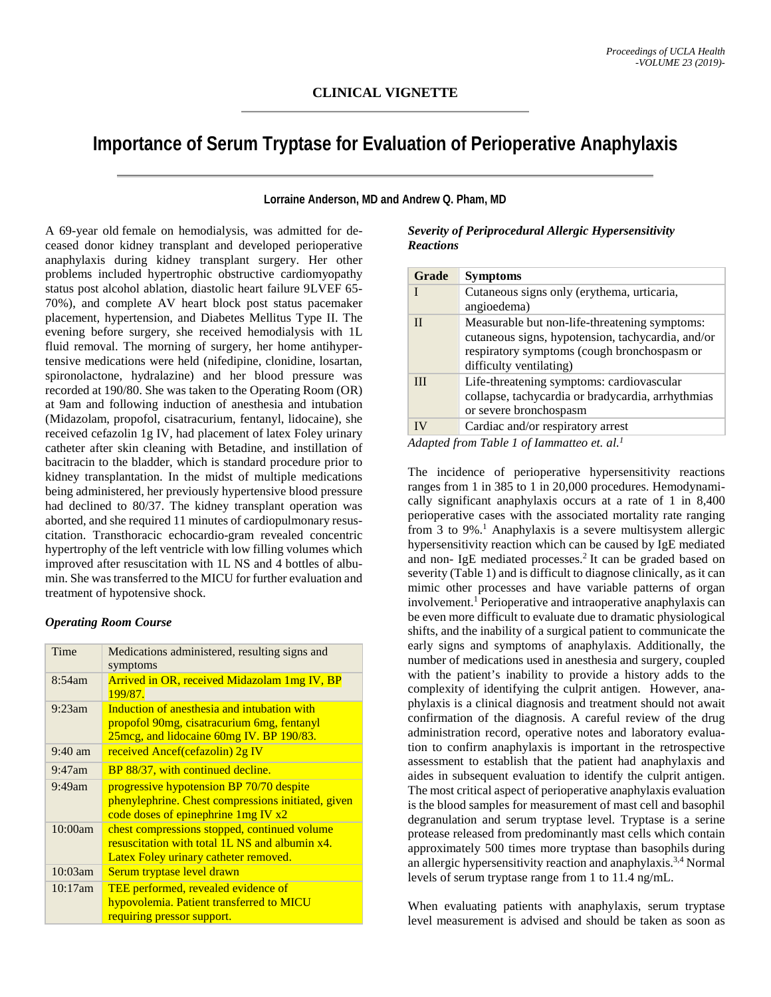# **Importance of Serum Tryptase for Evaluation of Perioperative Anaphylaxis**

**Lorraine Anderson, MD and Andrew Q. Pham, MD**

A 69-year old female on hemodialysis, was admitted for deceased donor kidney transplant and developed perioperative anaphylaxis during kidney transplant surgery. Her other problems included hypertrophic obstructive cardiomyopathy status post alcohol ablation, diastolic heart failure 9LVEF 65- 70%), and complete AV heart block post status pacemaker placement, hypertension, and Diabetes Mellitus Type II. The evening before surgery, she received hemodialysis with 1L fluid removal. The morning of surgery, her home antihypertensive medications were held (nifedipine, clonidine, losartan, spironolactone, hydralazine) and her blood pressure was recorded at 190/80. She was taken to the Operating Room (OR) at 9am and following induction of anesthesia and intubation (Midazolam, propofol, cisatracurium, fentanyl, lidocaine), she received cefazolin 1g IV, had placement of latex Foley urinary catheter after skin cleaning with Betadine, and instillation of bacitracin to the bladder, which is standard procedure prior to kidney transplantation. In the midst of multiple medications being administered, her previously hypertensive blood pressure had declined to 80/37. The kidney transplant operation was aborted, and she required 11 minutes of cardiopulmonary resuscitation. Transthoracic echocardio-gram revealed concentric hypertrophy of the left ventricle with low filling volumes which improved after resuscitation with 1L NS and 4 bottles of albumin. She was transferred to the MICU for further evaluation and treatment of hypotensive shock.

## *Operating Room Course*

| Time              | Medications administered, resulting signs and                                                                                           |  |  |
|-------------------|-----------------------------------------------------------------------------------------------------------------------------------------|--|--|
|                   | symptoms                                                                                                                                |  |  |
| 8:54am            | <b>Arrived in OR, received Midazolam 1mg IV, BP</b><br>199/87.                                                                          |  |  |
| $9:23$ am         | Induction of anesthesia and intubation with<br>propofol 90mg, cisatracurium 6mg, fentanyl<br>25mcg, and lidocaine 60mg IV. BP 190/83.   |  |  |
| $9:40 \text{ am}$ | received Ancef(cefazolin) 2g IV                                                                                                         |  |  |
| $9:47$ am         | BP 88/37, with continued decline.                                                                                                       |  |  |
| $9:49$ am         | progressive hypotension BP 70/70 despite<br>phenylephrine. Chest compressions initiated, given<br>code doses of epinephrine 1mg IV x2   |  |  |
| 10:00am           | chest compressions stopped, continued volume<br>resuscitation with total 1L NS and albumin x4.<br>Latex Foley urinary catheter removed. |  |  |
| 10:03am           | Serum tryptase level drawn                                                                                                              |  |  |
| 10:17am           | TEE performed, revealed evidence of<br>hypovolemia. Patient transferred to MICU<br>requiring pressor support.                           |  |  |

## *Severity of Periprocedural Allergic Hypersensitivity Reactions*

| Grade        | <b>Symptoms</b>                                                                                                                                                              |
|--------------|------------------------------------------------------------------------------------------------------------------------------------------------------------------------------|
|              | Cutaneous signs only (erythema, urticaria,<br>angioedema)                                                                                                                    |
| $\mathbf{I}$ | Measurable but non-life-threatening symptoms:<br>cutaneous signs, hypotension, tachycardia, and/or<br>respiratory symptoms (cough bronchospasm or<br>difficulty ventilating) |
| III          | Life-threatening symptoms: cardiovascular<br>collapse, tachycardia or bradycardia, arrhythmias<br>or severe bronchospasm                                                     |
| <b>IV</b>    | Cardiac and/or respiratory arrest                                                                                                                                            |

*Adapted from Table 1 of Iammatteo et. al.1*

The incidence of perioperative hypersensitivity reactions ranges from 1 in 385 to 1 in 20,000 procedures. Hemodynamically significant anaphylaxis occurs at a rate of 1 in 8,400 perioperative cases with the associated mortality rate ranging from 3 to 9%.<sup>1</sup> Anaphylaxis is a severe multisystem allergic hypersensitivity reaction which can be caused by IgE mediated and non- IgE mediated processes.<sup>2</sup> It can be graded based on severity (Table 1) and is difficult to diagnose clinically, as it can mimic other processes and have variable patterns of organ involvement.<sup>1</sup> Perioperative and intraoperative anaphylaxis can be even more difficult to evaluate due to dramatic physiological shifts, and the inability of a surgical patient to communicate the early signs and symptoms of anaphylaxis. Additionally, the number of medications used in anesthesia and surgery, coupled with the patient's inability to provide a history adds to the complexity of identifying the culprit antigen. However, anaphylaxis is a clinical diagnosis and treatment should not await confirmation of the diagnosis. A careful review of the drug administration record, operative notes and laboratory evaluation to confirm anaphylaxis is important in the retrospective assessment to establish that the patient had anaphylaxis and aides in subsequent evaluation to identify the culprit antigen. The most critical aspect of perioperative anaphylaxis evaluation is the blood samples for measurement of mast cell and basophil degranulation and serum tryptase level. Tryptase is a serine protease released from predominantly mast cells which contain approximately 500 times more tryptase than basophils during an allergic hypersensitivity reaction and anaphylaxis.3,4 Normal levels of serum tryptase range from 1 to 11.4 ng/mL.

When evaluating patients with anaphylaxis, serum tryptase level measurement is advised and should be taken as soon as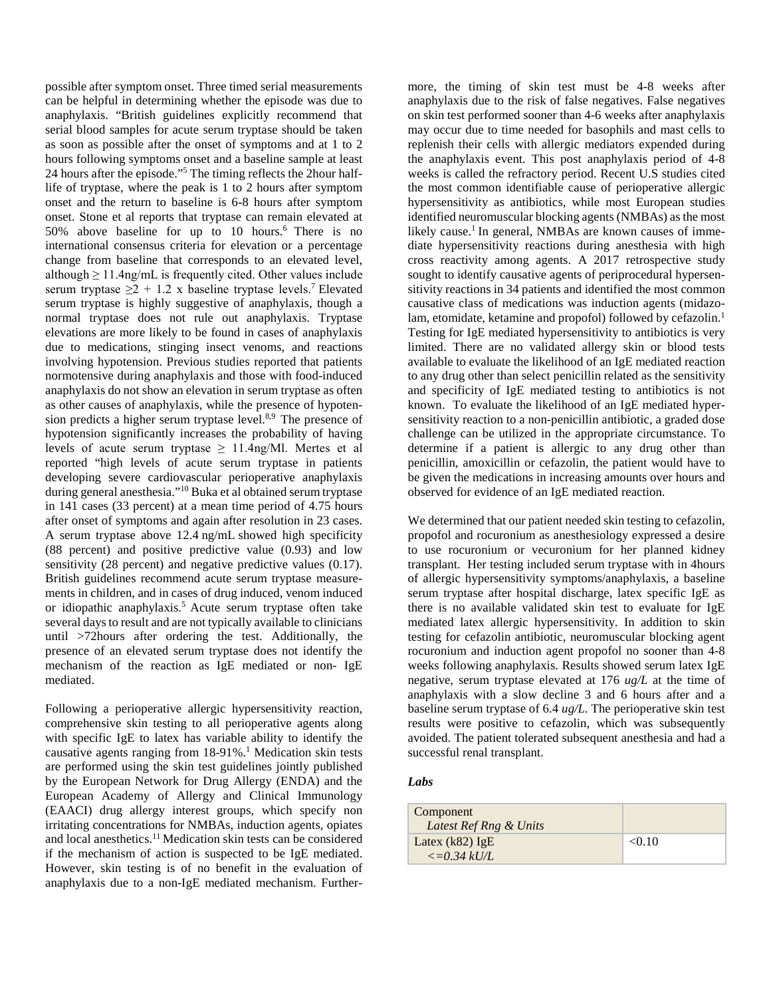possible after symptom onset. Three timed serial measurements can be helpful in determining whether the episode was due to anaphylaxis. "British guidelines explicitly recommend that serial blood samples for acute serum tryptase should be taken as soon as possible after the onset of symptoms and at 1 to 2 hours following symptoms onset and a baseline sample at least 24 hours after the episode."5 The timing reflects the 2hour halflife of tryptase, where the peak is 1 to 2 hours after symptom onset and the return to baseline is 6-8 hours after symptom onset. Stone et al reports that tryptase can remain elevated at 50% above baseline for up to 10 hours.<sup>6</sup> There is no international consensus criteria for elevation or a percentage change from baseline that corresponds to an elevated level, although  $\geq 11.4$ ng/mL is frequently cited. Other values include serum tryptase  $\geq 2 + 1.2$  x baseline tryptase levels.<sup>7</sup> Elevated serum tryptase is highly suggestive of anaphylaxis, though a normal tryptase does not rule out anaphylaxis. Tryptase elevations are more likely to be found in cases of anaphylaxis due to medications, stinging insect venoms, and reactions involving hypotension. Previous studies reported that patients normotensive during anaphylaxis and those with food-induced anaphylaxis do not show an elevation in serum tryptase as often as other causes of anaphylaxis, while the presence of hypotension predicts a higher serum tryptase level.<sup>8,9</sup> The presence of hypotension significantly increases the probability of having levels of acute serum tryptase  $\geq$  11.4ng/Ml. Mertes et al reported "high levels of acute serum tryptase in patients developing severe cardiovascular perioperative anaphylaxis during general anesthesia."10 Buka et al obtained serum tryptase in 141 cases (33 percent) at a mean time period of 4.75 hours after onset of symptoms and again after resolution in 23 cases. A serum tryptase above 12.4 ng/mL showed high specificity (88 percent) and positive predictive value (0.93) and low sensitivity (28 percent) and negative predictive values (0.17). British guidelines recommend acute serum tryptase measurements in children, and in cases of drug induced, venom induced or idiopathic anaphylaxis.5 Acute serum tryptase often take several days to result and are not typically available to clinicians until >72hours after ordering the test. Additionally, the presence of an elevated serum tryptase does not identify the mechanism of the reaction as IgE mediated or non- IgE mediated.

Following a perioperative allergic hypersensitivity reaction, comprehensive skin testing to all perioperative agents along with specific IgE to latex has variable ability to identify the causative agents ranging from  $18-91\%$ .<sup>1</sup> Medication skin tests are performed using the skin test guidelines jointly published by the European Network for Drug Allergy (ENDA) and the European Academy of Allergy and Clinical Immunology (EAACI) drug allergy interest groups, which specify non irritating concentrations for NMBAs, induction agents, opiates and local anesthetics.11 Medication skin tests can be considered if the mechanism of action is suspected to be IgE mediated. However, skin testing is of no benefit in the evaluation of anaphylaxis due to a non-IgE mediated mechanism. Further-

more, the timing of skin test must be 4-8 weeks after anaphylaxis due to the risk of false negatives. False negatives on skin test performed sooner than 4-6 weeks after anaphylaxis may occur due to time needed for basophils and mast cells to replenish their cells with allergic mediators expended during the anaphylaxis event. This post anaphylaxis period of 4-8 weeks is called the refractory period. Recent U.S studies cited the most common identifiable cause of perioperative allergic hypersensitivity as antibiotics, while most European studies identified neuromuscular blocking agents (NMBAs) as the most likely cause.<sup>1</sup> In general, NMBAs are known causes of immediate hypersensitivity reactions during anesthesia with high cross reactivity among agents. A 2017 retrospective study sought to identify causative agents of periprocedural hypersensitivity reactions in 34 patients and identified the most common causative class of medications was induction agents (midazolam, etomidate, ketamine and propofol) followed by cefazolin.<sup>1</sup> Testing for IgE mediated hypersensitivity to antibiotics is very limited. There are no validated allergy skin or blood tests available to evaluate the likelihood of an IgE mediated reaction to any drug other than select penicillin related as the sensitivity and specificity of IgE mediated testing to antibiotics is not known. To evaluate the likelihood of an IgE mediated hypersensitivity reaction to a non-penicillin antibiotic, a graded dose challenge can be utilized in the appropriate circumstance. To determine if a patient is allergic to any drug other than penicillin, amoxicillin or cefazolin, the patient would have to be given the medications in increasing amounts over hours and observed for evidence of an IgE mediated reaction.

We determined that our patient needed skin testing to cefazolin, propofol and rocuronium as anesthesiology expressed a desire to use rocuronium or vecuronium for her planned kidney transplant. Her testing included serum tryptase with in 4hours of allergic hypersensitivity symptoms/anaphylaxis, a baseline serum tryptase after hospital discharge, latex specific IgE as there is no available validated skin test to evaluate for IgE mediated latex allergic hypersensitivity. In addition to skin testing for cefazolin antibiotic, neuromuscular blocking agent rocuronium and induction agent propofol no sooner than 4-8 weeks following anaphylaxis. Results showed serum latex IgE negative, serum tryptase elevated at 176 *ug/L* at the time of anaphylaxis with a slow decline 3 and 6 hours after and a baseline serum tryptase of 6.4 *ug/L*. The perioperative skin test results were positive to cefazolin, which was subsequently avoided. The patient tolerated subsequent anesthesia and had a successful renal transplant.

## *Labs*

| Component<br>Latest Ref Rng & Units         |        |
|---------------------------------------------|--------|
| Latex $(k82)$ IgE<br>$\epsilon = 0.34$ kU/L | < 0.10 |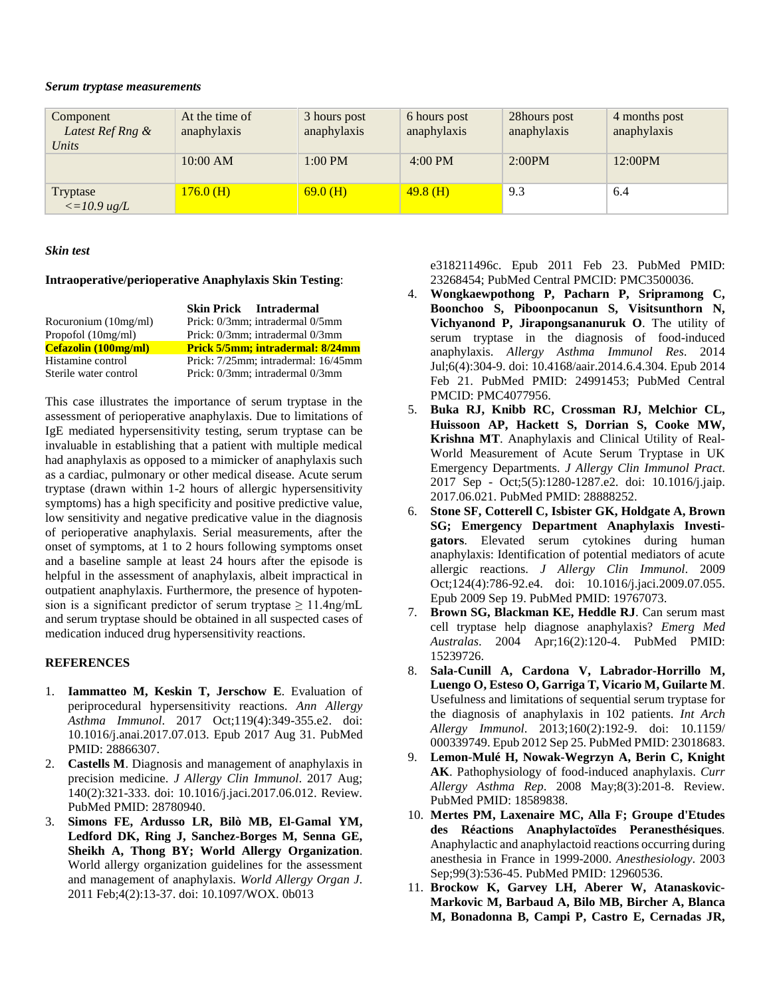#### *Serum tryptase measurements*

| Component<br>Latest Ref Rng &<br>Units                 | At the time of<br>anaphylaxis | 3 hours post<br>anaphylaxis | 6 hours post<br>anaphylaxis | 28hours post<br>anaphylaxis | 4 months post<br>anaphylaxis |
|--------------------------------------------------------|-------------------------------|-----------------------------|-----------------------------|-----------------------------|------------------------------|
|                                                        | 10:00 AM                      | $1:00$ PM                   | $4:00 \text{ PM}$           | 2:00PM                      | $12:00$ PM                   |
| Tryptase<br>$\langle 10.9 \text{ u}\text{g}/L \rangle$ | 176.0(H)                      | 69.0(H)                     | $49.8$ (H)                  | 9.3                         | 6.4                          |

#### *Skin test*

## **Intraoperative/perioperative Anaphylaxis Skin Testing**:

|                       | <b>Skin Prick Intradermal</b>       |
|-----------------------|-------------------------------------|
| Rocuronium (10mg/ml)  | Prick: 0/3mm; intradermal 0/5mm     |
| Propofol $(10mg/ml)$  | Prick: 0/3mm; intradermal 0/3mm     |
| Cefazolin (100mg/ml)  | Prick 5/5mm; intradermal: 8/24mm    |
| Histamine control     | Prick: 7/25mm; intradermal: 16/45mm |
| Sterile water control | Prick: 0/3mm; intradermal 0/3mm     |

This case illustrates the importance of serum tryptase in the assessment of perioperative anaphylaxis. Due to limitations of IgE mediated hypersensitivity testing, serum tryptase can be invaluable in establishing that a patient with multiple medical had anaphylaxis as opposed to a mimicker of anaphylaxis such as a cardiac, pulmonary or other medical disease. Acute serum tryptase (drawn within 1-2 hours of allergic hypersensitivity symptoms) has a high specificity and positive predictive value, low sensitivity and negative predicative value in the diagnosis of perioperative anaphylaxis. Serial measurements, after the onset of symptoms, at 1 to 2 hours following symptoms onset and a baseline sample at least 24 hours after the episode is helpful in the assessment of anaphylaxis, albeit impractical in outpatient anaphylaxis. Furthermore, the presence of hypotension is a significant predictor of serum tryptase  $\geq 11.4$ ng/mL and serum tryptase should be obtained in all suspected cases of medication induced drug hypersensitivity reactions.

## **REFERENCES**

- 1. **Iammatteo M, Keskin T, Jerschow E**. Evaluation of periprocedural hypersensitivity reactions. *Ann Allergy Asthma Immunol*. 2017 Oct;119(4):349-355.e2. doi: 10.1016/j.anai.2017.07.013. Epub 2017 Aug 31. PubMed PMID: 28866307.
- 2. **Castells M**. Diagnosis and management of anaphylaxis in precision medicine. *J Allergy Clin Immunol*. 2017 Aug; 140(2):321-333. doi: 10.1016/j.jaci.2017.06.012. Review. PubMed PMID: 28780940.
- 3. **Simons FE, Ardusso LR, Bilò MB, El-Gamal YM, Ledford DK, Ring J, Sanchez-Borges M, Senna GE, Sheikh A, Thong BY; World Allergy Organization**. World allergy organization guidelines for the assessment and management of anaphylaxis. *World Allergy Organ J*. 2011 Feb;4(2):13-37. doi: 10.1097/WOX. 0b013

e318211496c. Epub 2011 Feb 23. PubMed PMID: 23268454; PubMed Central PMCID: PMC3500036.

- 4. **Wongkaewpothong P, Pacharn P, Sripramong C, Boonchoo S, Piboonpocanun S, Visitsunthorn N, Vichyanond P, Jirapongsananuruk O**. The utility of serum tryptase in the diagnosis of food-induced anaphylaxis. *Allergy Asthma Immunol Res*. 2014 Jul;6(4):304-9. doi: 10.4168/aair.2014.6.4.304. Epub 2014 Feb 21. PubMed PMID: 24991453; PubMed Central PMCID: PMC4077956.
- 5. **Buka RJ, Knibb RC, Crossman RJ, Melchior CL, Huissoon AP, Hackett S, Dorrian S, Cooke MW, Krishna MT**. Anaphylaxis and Clinical Utility of Real-World Measurement of Acute Serum Tryptase in UK Emergency Departments. *J Allergy Clin Immunol Pract*. 2017 Sep - Oct;5(5):1280-1287.e2. doi: 10.1016/j.jaip. 2017.06.021. PubMed PMID: 28888252.
- 6. **Stone SF, Cotterell C, Isbister GK, Holdgate A, Brown SG; Emergency Department Anaphylaxis Investigators**. Elevated serum cytokines during human anaphylaxis: Identification of potential mediators of acute allergic reactions. *J Allergy Clin Immunol*. 2009 Oct;124(4):786-92.e4. doi: 10.1016/j.jaci.2009.07.055. Epub 2009 Sep 19. PubMed PMID: 19767073.
- 7. **Brown SG, Blackman KE, Heddle RJ**. Can serum mast cell tryptase help diagnose anaphylaxis? *Emerg Med Australas*. 2004 Apr;16(2):120-4. PubMed PMID: 15239726.
- 8. **Sala-Cunill A, Cardona V, Labrador-Horrillo M, Luengo O, Esteso O, Garriga T, Vicario M, Guilarte M**. Usefulness and limitations of sequential serum tryptase for the diagnosis of anaphylaxis in 102 patients. *Int Arch Allergy Immunol*. 2013;160(2):192-9. doi: 10.1159/ 000339749. Epub 2012 Sep 25. PubMed PMID: 23018683.
- 9. **Lemon-Mulé H, Nowak-Wegrzyn A, Berin C, Knight AK**. Pathophysiology of food-induced anaphylaxis. *Curr Allergy Asthma Rep*. 2008 May;8(3):201-8. Review. PubMed PMID: 18589838.
- 10. **Mertes PM, Laxenaire MC, Alla F; Groupe d'Etudes des Réactions Anaphylactoïdes Peranesthésiques**. Anaphylactic and anaphylactoid reactions occurring during anesthesia in France in 1999-2000. *Anesthesiology*. 2003 Sep;99(3):536-45. PubMed PMID: 12960536.
- 11. **Brockow K, Garvey LH, Aberer W, Atanaskovic-Markovic M, Barbaud A, Bilo MB, Bircher A, Blanca M, Bonadonna B, Campi P, Castro E, Cernadas JR,**